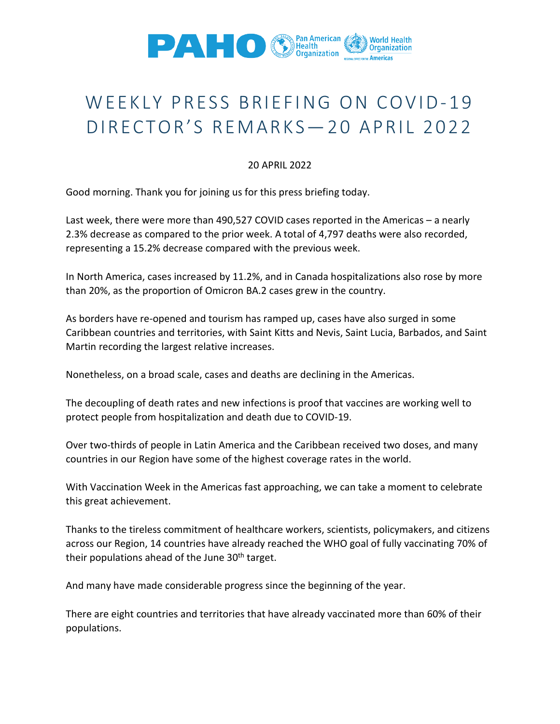

## WEEKLY PRESS BRIEFING ON COVID-19 DIRECTOR'S REMARKS-20 APRIL 2022

## 20 APRIL 2022

Good morning. Thank you for joining us for this press briefing today.

Last week, there were more than 490,527 COVID cases reported in the Americas – a nearly 2.3% decrease as compared to the prior week. A total of 4,797 deaths were also recorded, representing a 15.2% decrease compared with the previous week.

In North America, cases increased by 11.2%, and in Canada hospitalizations also rose by more than 20%, as the proportion of Omicron BA.2 cases grew in the country.

As borders have re-opened and tourism has ramped up, cases have also surged in some Caribbean countries and territories, with Saint Kitts and Nevis, Saint Lucia, Barbados, and Saint Martin recording the largest relative increases.

Nonetheless, on a broad scale, cases and deaths are declining in the Americas.

The decoupling of death rates and new infections is proof that vaccines are working well to protect people from hospitalization and death due to COVID-19.

Over two-thirds of people in Latin America and the Caribbean received two doses, and many countries in our Region have some of the highest coverage rates in the world.

With Vaccination Week in the Americas fast approaching, we can take a moment to celebrate this great achievement.

Thanks to the tireless commitment of healthcare workers, scientists, policymakers, and citizens across our Region, 14 countries have already reached the WHO goal of fully vaccinating 70% of their populations ahead of the June  $30<sup>th</sup>$  target.

And many have made considerable progress since the beginning of the year.

There are eight countries and territories that have already vaccinated more than 60% of their populations.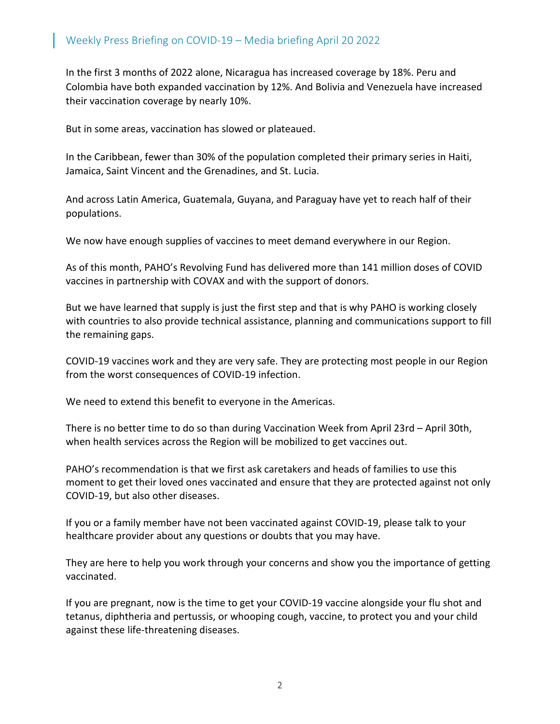In the first 3 months of 2022 alone, Nicaragua has increased coverage by 18%. Peru and Colombia have both expanded vaccination by 12%. And Bolivia and Venezuela have increased their vaccination coverage by nearly 10%.

But in some areas, vaccination has slowed or plateaued.

In the Caribbean, fewer than 30% of the population completed their primary series in Haiti, Jamaica, Saint Vincent and the Grenadines, and St. Lucia.

And across Latin America, Guatemala, Guyana, and Paraguay have yet to reach half of their populations.

We now have enough supplies of vaccines to meet demand everywhere in our Region.

As of this month, PAHO's Revolving Fund has delivered more than 141 million doses of COVID vaccines in partnership with COVAX and with the support of donors.

But we have learned that supply is just the first step and that is why PAHO is working closely with countries to also provide technical assistance, planning and communications support to fill the remaining gaps.

COVID-19 vaccines work and they are very safe. They are protecting most people in our Region from the worst consequences of COVID-19 infection.

We need to extend this benefit to everyone in the Americas.

There is no better time to do so than during Vaccination Week from April 23rd – April 30th, when health services across the Region will be mobilized to get vaccines out.

PAHO's recommendation is that we first ask caretakers and heads of families to use this moment to get their loved ones vaccinated and ensure that they are protected against not only COVID-19, but also other diseases.

If you or a family member have not been vaccinated against COVID-19, please talk to your healthcare provider about any questions or doubts that you may have.

They are here to help you work through your concerns and show you the importance of getting vaccinated.

If you are pregnant, now is the time to get your COVID-19 vaccine alongside your flu shot and tetanus, diphtheria and pertussis, or whooping cough, vaccine, to protect you and your child against these life-threatening diseases.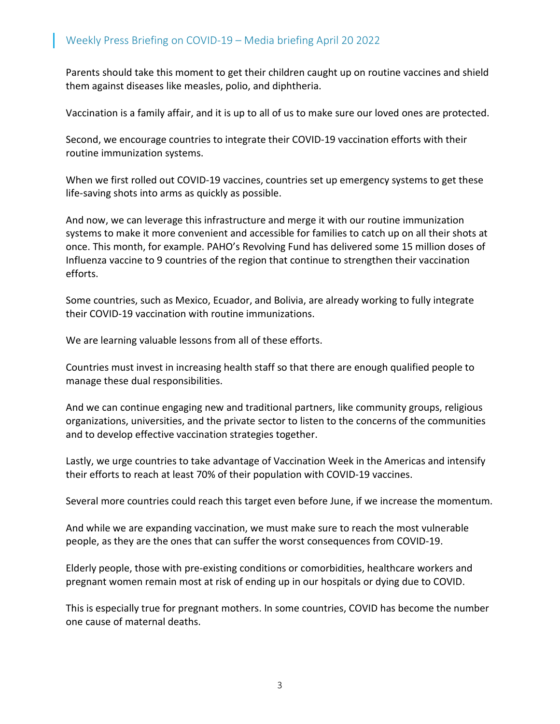Parents should take this moment to get their children caught up on routine vaccines and shield them against diseases like measles, polio, and diphtheria.

Vaccination is a family affair, and it is up to all of us to make sure our loved ones are protected.

Second, we encourage countries to integrate their COVID-19 vaccination efforts with their routine immunization systems.

When we first rolled out COVID-19 vaccines, countries set up emergency systems to get these life-saving shots into arms as quickly as possible.

And now, we can leverage this infrastructure and merge it with our routine immunization systems to make it more convenient and accessible for families to catch up on all their shots at once. This month, for example. PAHO's Revolving Fund has delivered some 15 million doses of Influenza vaccine to 9 countries of the region that continue to strengthen their vaccination efforts.

Some countries, such as Mexico, Ecuador, and Bolivia, are already working to fully integrate their COVID-19 vaccination with routine immunizations.

We are learning valuable lessons from all of these efforts.

Countries must invest in increasing health staff so that there are enough qualified people to manage these dual responsibilities.

And we can continue engaging new and traditional partners, like community groups, religious organizations, universities, and the private sector to listen to the concerns of the communities and to develop effective vaccination strategies together.

Lastly, we urge countries to take advantage of Vaccination Week in the Americas and intensify their efforts to reach at least 70% of their population with COVID-19 vaccines.

Several more countries could reach this target even before June, if we increase the momentum.

And while we are expanding vaccination, we must make sure to reach the most vulnerable people, as they are the ones that can suffer the worst consequences from COVID-19.

Elderly people, those with pre-existing conditions or comorbidities, healthcare workers and pregnant women remain most at risk of ending up in our hospitals or dying due to COVID.

This is especially true for pregnant mothers. In some countries, COVID has become the number one cause of maternal deaths.